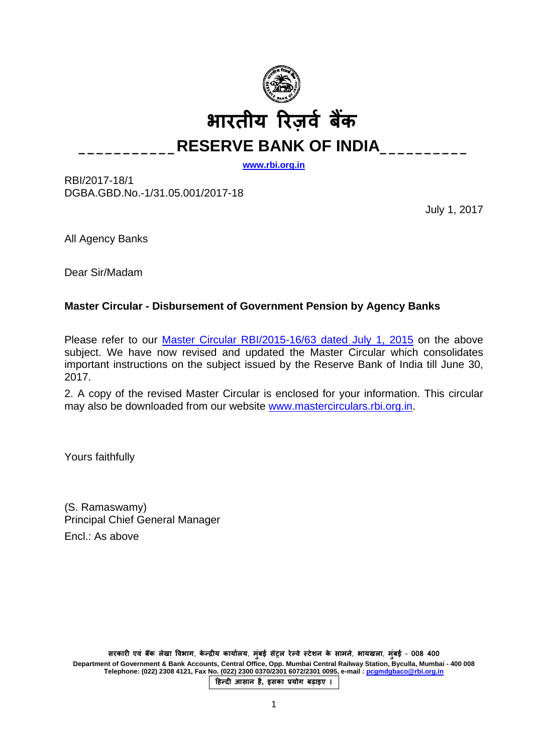

**\_\_\_\_\_\_\_\_\_\_\_RESERVE BANK OF INDIA\_\_\_\_\_\_\_\_\_\_**

**[www.rbi.org.in](http://www.rbi.org.in/)**

RBI/2017-18/1 DGBA.GBD.No.-1/31.05.001/2017-18

July 1, 2017

All Agency Banks

Dear Sir/Madam

# **Master Circular - Disbursement of Government Pension by Agency Banks**

Please refer to our [Master Circular RBI/2015-16/63 dated July 1, 2015](https://www.rbi.org.in/Scripts/BS_ViewMasCirculardetails.aspx?id=9883) on the above subject. We have now revised and updated the Master Circular which consolidates important instructions on the subject issued by the Reserve Bank of India till June 30, 2017.

2. A copy of the revised Master Circular is enclosed for your information. This circular may also be downloaded from our website [www.mastercirculars.rbi.org.in.](https://www.rbi.org.in/scripts/BS_ViewMasterCirculardetails.aspx)

Yours faithfully

(S. Ramaswamy) Principal Chief General Manager Encl.: As above

**सरकार� एवं बक लेखा �वभाग �** , **के न्द्र�य कायार्लय**, **मुंबई स�ट्रल रेल्वे स्टेशन के सामने**, **भायखला**, **मुंबई** - **008 400 Department of Government & Bank Accounts, Central Office, Opp. Mumbai Central Railway Station, Byculla, Mumbai - 400 008 Telephone: (022) 2308 4121, Fax No. (022) 2300 0370/2301 6072/2301 0095, e-mail [: pcgmdgbaco@rbi.org.in](mailto:pcgmdgbaco@rbi.org.in)**

**�हन्द� आसान है, इसका प्रयोग बढ़ाइए ।**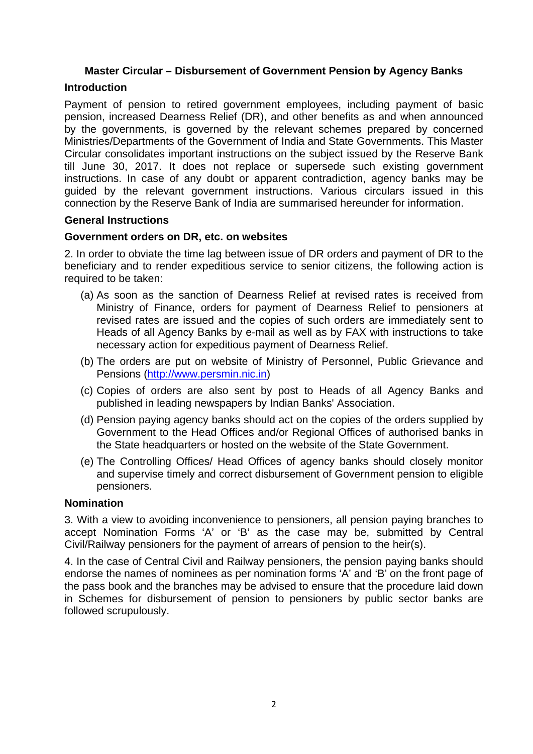# **Master Circular – Disbursement of Government Pension by Agency Banks**

# **Introduction**

Payment of pension to retired government employees, including payment of basic pension, increased Dearness Relief (DR), and other benefits as and when announced by the governments, is governed by the relevant schemes prepared by concerned Ministries/Departments of the Government of India and State Governments. This Master Circular consolidates important instructions on the subject issued by the Reserve Bank till June 30, 2017. It does not replace or supersede such existing government instructions. In case of any doubt or apparent contradiction, agency banks may be guided by the relevant government instructions. Various circulars issued in this connection by the Reserve Bank of India are summarised hereunder for information.

#### **General Instructions**

#### **Government orders on DR, etc. on websites**

2. In order to obviate the time lag between issue of DR orders and payment of DR to the beneficiary and to render expeditious service to senior citizens, the following action is required to be taken:

- (a) As soon as the sanction of Dearness Relief at revised rates is received from Ministry of Finance, orders for payment of Dearness Relief to pensioners at revised rates are issued and the copies of such orders are immediately sent to Heads of all Agency Banks by e-mail as well as by FAX with instructions to take necessary action for expeditious payment of Dearness Relief.
- (b) The orders are put on website of Ministry of Personnel, Public Grievance and Pensions [\(http://www.persmin.nic.in\)](http://www.persmin.nic.in/)
- (c) Copies of orders are also sent by post to Heads of all Agency Banks and published in leading newspapers by Indian Banks' Association.
- (d) Pension paying agency banks should act on the copies of the orders supplied by Government to the Head Offices and/or Regional Offices of authorised banks in the State headquarters or hosted on the website of the State Government.
- (e) The Controlling Offices/ Head Offices of agency banks should closely monitor and supervise timely and correct disbursement of Government pension to eligible pensioners.

#### **Nomination**

3. With a view to avoiding inconvenience to pensioners, all pension paying branches to accept Nomination Forms 'A' or 'B' as the case may be, submitted by Central Civil/Railway pensioners for the payment of arrears of pension to the heir(s).

4. In the case of Central Civil and Railway pensioners, the pension paying banks should endorse the names of nominees as per nomination forms 'A' and 'B' on the front page of the pass book and the branches may be advised to ensure that the procedure laid down in Schemes for disbursement of pension to pensioners by public sector banks are followed scrupulously.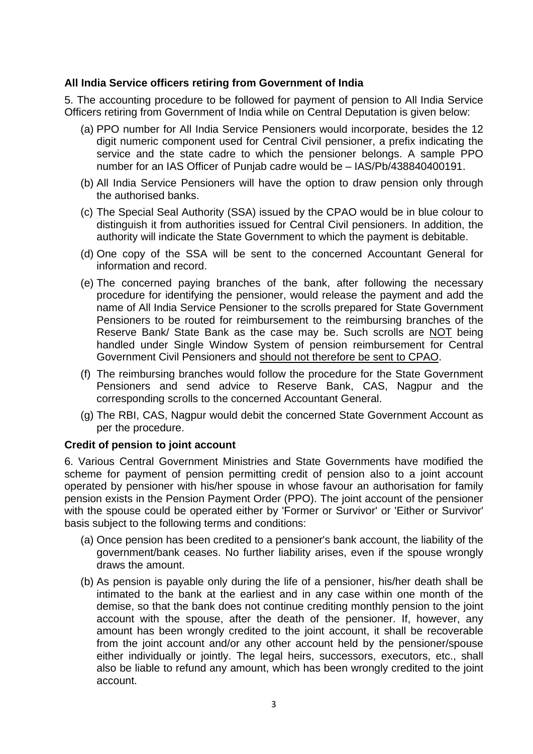# **All India Service officers retiring from Government of India**

5. The accounting procedure to be followed for payment of pension to All India Service Officers retiring from Government of India while on Central Deputation is given below:

- (a) PPO number for All India Service Pensioners would incorporate, besides the 12 digit numeric component used for Central Civil pensioner, a prefix indicating the service and the state cadre to which the pensioner belongs. A sample PPO number for an IAS Officer of Punjab cadre would be – IAS/Pb/438840400191.
- (b) All India Service Pensioners will have the option to draw pension only through the authorised banks.
- (c) The Special Seal Authority (SSA) issued by the CPAO would be in blue colour to distinguish it from authorities issued for Central Civil pensioners. In addition, the authority will indicate the State Government to which the payment is debitable.
- (d) One copy of the SSA will be sent to the concerned Accountant General for information and record.
- (e) The concerned paying branches of the bank, after following the necessary procedure for identifying the pensioner, would release the payment and add the name of All India Service Pensioner to the scrolls prepared for State Government Pensioners to be routed for reimbursement to the reimbursing branches of the Reserve Bank/ State Bank as the case may be. Such scrolls are NOT being handled under Single Window System of pension reimbursement for Central Government Civil Pensioners and should not therefore be sent to CPAO.
- (f) The reimbursing branches would follow the procedure for the State Government Pensioners and send advice to Reserve Bank, CAS, Nagpur and the corresponding scrolls to the concerned Accountant General.
- (g) The RBI, CAS, Nagpur would debit the concerned State Government Account as per the procedure.

#### **Credit of pension to joint account**

6. Various Central Government Ministries and State Governments have modified the scheme for payment of pension permitting credit of pension also to a joint account operated by pensioner with his/her spouse in whose favour an authorisation for family pension exists in the Pension Payment Order (PPO). The joint account of the pensioner with the spouse could be operated either by 'Former or Survivor' or 'Either or Survivor' basis subject to the following terms and conditions:

- (a) Once pension has been credited to a pensioner's bank account, the liability of the government/bank ceases. No further liability arises, even if the spouse wrongly draws the amount.
- (b) As pension is payable only during the life of a pensioner, his/her death shall be intimated to the bank at the earliest and in any case within one month of the demise, so that the bank does not continue crediting monthly pension to the joint account with the spouse, after the death of the pensioner. If, however, any amount has been wrongly credited to the joint account, it shall be recoverable from the joint account and/or any other account held by the pensioner/spouse either individually or jointly. The legal heirs, successors, executors, etc., shall also be liable to refund any amount, which has been wrongly credited to the joint account.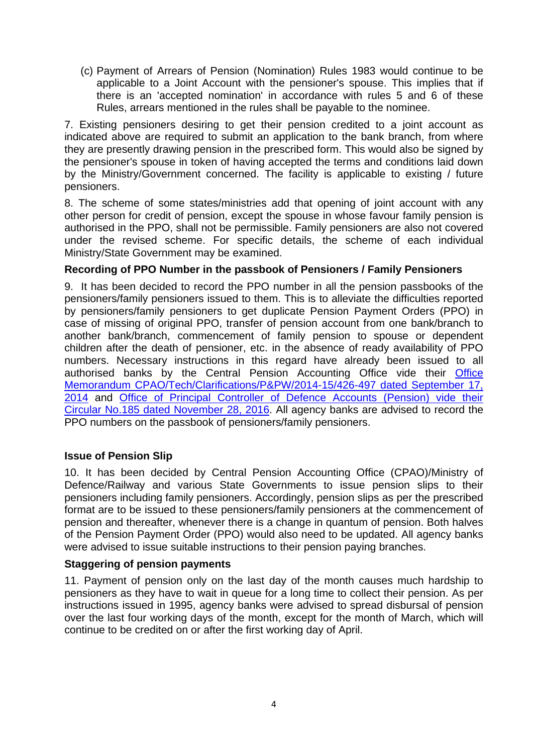(c) Payment of Arrears of Pension (Nomination) Rules 1983 would continue to be applicable to a Joint Account with the pensioner's spouse. This implies that if there is an 'accepted nomination' in accordance with rules 5 and 6 of these Rules, arrears mentioned in the rules shall be payable to the nominee.

7. Existing pensioners desiring to get their pension credited to a joint account as indicated above are required to submit an application to the bank branch, from where they are presently drawing pension in the prescribed form. This would also be signed by the pensioner's spouse in token of having accepted the terms and conditions laid down by the Ministry/Government concerned. The facility is applicable to existing / future pensioners.

8. The scheme of some states/ministries add that opening of joint account with any other person for credit of pension, except the spouse in whose favour family pension is authorised in the PPO, shall not be permissible. Family pensioners are also not covered under the revised scheme. For specific details, the scheme of each individual Ministry/State Government may be examined.

# **Recording of PPO Number in the passbook of Pensioners / Family Pensioners**

9. It has been decided to record the PPO number in all the pension passbooks of the pensioners/family pensioners issued to them. This is to alleviate the difficulties reported by pensioners/family pensioners to get duplicate Pension Payment Orders (PPO) in case of missing of original PPO, transfer of pension account from one bank/branch to another bank/branch, commencement of family pension to spouse or dependent children after the death of pensioner, etc. in the absence of ready availability of PPO numbers. Necessary instructions in this regard have already been issued to all authorised banks by the Central Pension Accounting Office vide their [Office](http://cpao.nic.in/pdf/CPAO_Tech_clarification_p_pw_2014-15.pdf)  [Memorandum CPAO/Tech/Clarifications/P&PW/2014-15/426-497 dated September 17,](http://cpao.nic.in/pdf/CPAO_Tech_clarification_p_pw_2014-15.pdf)  [2014](http://cpao.nic.in/pdf/CPAO_Tech_clarification_p_pw_2014-15.pdf) and [Office of Principal Controller of Defence Accounts \(Pension\) vide their](http://pcdapension.nic.in/6cpc/Circular-185.pdf)  [Circular No.185 dated November 28, 2016.](http://pcdapension.nic.in/6cpc/Circular-185.pdf) All agency banks are advised to record the PPO numbers on the passbook of pensioners/family pensioners.

# **Issue of Pension Slip**

10. It has been decided by Central Pension Accounting Office (CPAO)/Ministry of Defence/Railway and various State Governments to issue pension slips to their pensioners including family pensioners. Accordingly, pension slips as per the prescribed format are to be issued to these pensioners/family pensioners at the commencement of pension and thereafter, whenever there is a change in quantum of pension. Both halves of the Pension Payment Order (PPO) would also need to be updated. All agency banks were advised to issue suitable instructions to their pension paying branches.

# **Staggering of pension payments**

11. Payment of pension only on the last day of the month causes much hardship to pensioners as they have to wait in queue for a long time to collect their pension. As per instructions issued in 1995, agency banks were advised to spread disbursal of pension over the last four working days of the month, except for the month of March, which will continue to be credited on or after the first working day of April.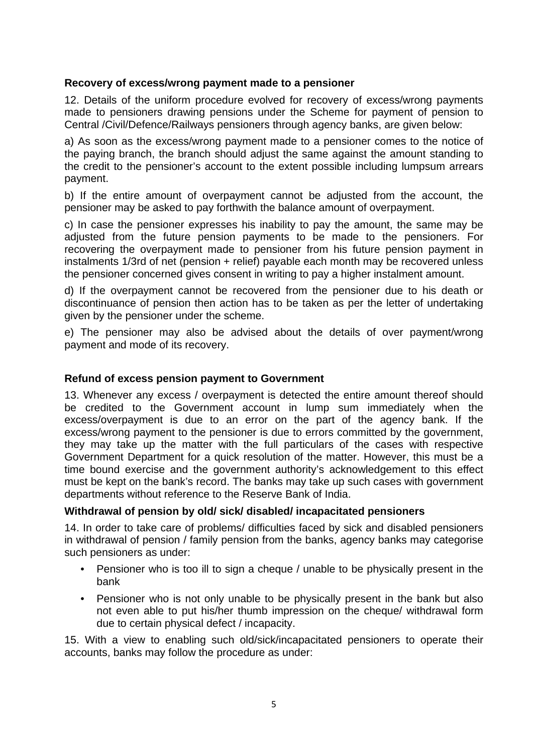# **Recovery of excess/wrong payment made to a pensioner**

12. Details of the uniform procedure evolved for recovery of excess/wrong payments made to pensioners drawing pensions under the Scheme for payment of pension to Central /Civil/Defence/Railways pensioners through agency banks, are given below:

a) As soon as the excess/wrong payment made to a pensioner comes to the notice of the paying branch, the branch should adjust the same against the amount standing to the credit to the pensioner's account to the extent possible including lumpsum arrears payment.

b) If the entire amount of overpayment cannot be adjusted from the account, the pensioner may be asked to pay forthwith the balance amount of overpayment.

c) In case the pensioner expresses his inability to pay the amount, the same may be adjusted from the future pension payments to be made to the pensioners. For recovering the overpayment made to pensioner from his future pension payment in instalments 1/3rd of net (pension + relief) payable each month may be recovered unless the pensioner concerned gives consent in writing to pay a higher instalment amount.

d) If the overpayment cannot be recovered from the pensioner due to his death or discontinuance of pension then action has to be taken as per the letter of undertaking given by the pensioner under the scheme.

e) The pensioner may also be advised about the details of over payment/wrong payment and mode of its recovery.

# **Refund of excess pension payment to Government**

13. Whenever any excess / overpayment is detected the entire amount thereof should be credited to the Government account in lump sum immediately when the excess/overpayment is due to an error on the part of the agency bank. If the excess/wrong payment to the pensioner is due to errors committed by the government, they may take up the matter with the full particulars of the cases with respective Government Department for a quick resolution of the matter. However, this must be a time bound exercise and the government authority's acknowledgement to this effect must be kept on the bank's record. The banks may take up such cases with government departments without reference to the Reserve Bank of India.

# **Withdrawal of pension by old/ sick/ disabled/ incapacitated pensioners**

14. In order to take care of problems/ difficulties faced by sick and disabled pensioners in withdrawal of pension / family pension from the banks, agency banks may categorise such pensioners as under:

- Pensioner who is too ill to sign a cheque / unable to be physically present in the bank
- Pensioner who is not only unable to be physically present in the bank but also not even able to put his/her thumb impression on the cheque/ withdrawal form due to certain physical defect / incapacity.

15. With a view to enabling such old/sick/incapacitated pensioners to operate their accounts, banks may follow the procedure as under: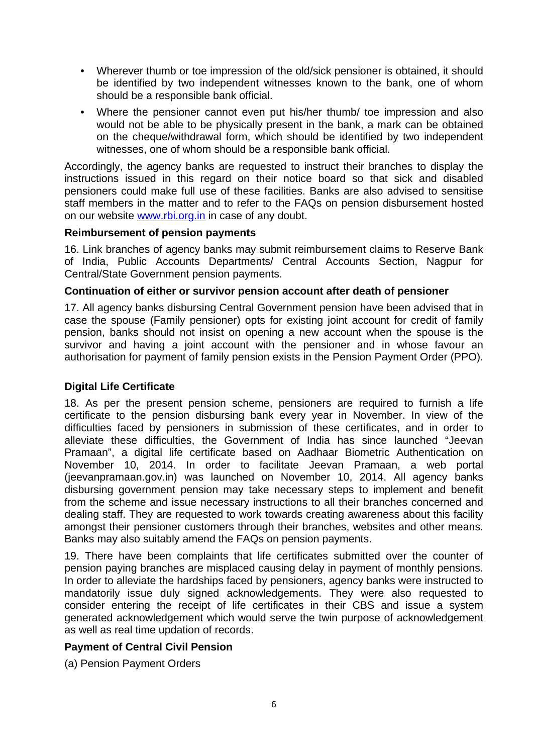- Wherever thumb or toe impression of the old/sick pensioner is obtained, it should be identified by two independent witnesses known to the bank, one of whom should be a responsible bank official.
- Where the pensioner cannot even put his/her thumb/ toe impression and also would not be able to be physically present in the bank, a mark can be obtained on the cheque/withdrawal form, which should be identified by two independent witnesses, one of whom should be a responsible bank official.

Accordingly, the agency banks are requested to instruct their branches to display the instructions issued in this regard on their notice board so that sick and disabled pensioners could make full use of these facilities. Banks are also advised to sensitise staff members in the matter and to refer to the FAQs on pension disbursement hosted on our website [www.rbi.org.in](https://rbi.org.in/) in case of any doubt.

# **Reimbursement of pension payments**

16. Link branches of agency banks may submit reimbursement claims to Reserve Bank of India, Public Accounts Departments/ Central Accounts Section, Nagpur for Central/State Government pension payments.

#### **Continuation of either or survivor pension account after death of pensioner**

17. All agency banks disbursing Central Government pension have been advised that in case the spouse (Family pensioner) opts for existing joint account for credit of family pension, banks should not insist on opening a new account when the spouse is the survivor and having a joint account with the pensioner and in whose favour an authorisation for payment of family pension exists in the Pension Payment Order (PPO).

# **Digital Life Certificate**

18. As per the present pension scheme, pensioners are required to furnish a life certificate to the pension disbursing bank every year in November. In view of the difficulties faced by pensioners in submission of these certificates, and in order to alleviate these difficulties, the Government of India has since launched "Jeevan Pramaan", a digital life certificate based on Aadhaar Biometric Authentication on November 10, 2014. In order to facilitate Jeevan Pramaan, a web portal (jeevanpramaan.gov.in) was launched on November 10, 2014. All agency banks disbursing government pension may take necessary steps to implement and benefit from the scheme and issue necessary instructions to all their branches concerned and dealing staff. They are requested to work towards creating awareness about this facility amongst their pensioner customers through their branches, websites and other means. Banks may also suitably amend the FAQs on pension payments.

19. There have been complaints that life certificates submitted over the counter of pension paying branches are misplaced causing delay in payment of monthly pensions. In order to alleviate the hardships faced by pensioners, agency banks were instructed to mandatorily issue duly signed acknowledgements. They were also requested to consider entering the receipt of life certificates in their CBS and issue a system generated acknowledgement which would serve the twin purpose of acknowledgement as well as real time updation of records.

# **Payment of Central Civil Pension**

(a) Pension Payment Orders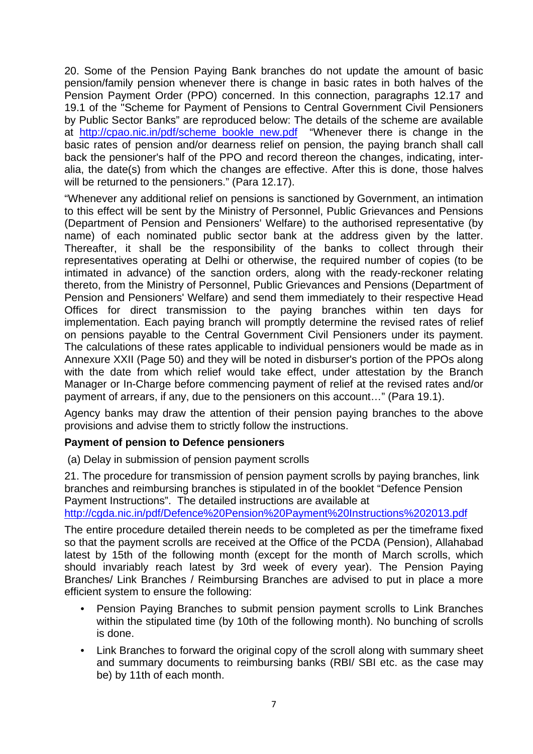20. Some of the Pension Paying Bank branches do not update the amount of basic pension/family pension whenever there is change in basic rates in both halves of the Pension Payment Order (PPO) concerned. In this connection, paragraphs 12.17 and 19.1 of the "Scheme for Payment of Pensions to Central Government Civil Pensioners by Public Sector Banks" are reproduced below: The details of the scheme are available at [http://cpao.nic.in/pdf/scheme\\_bookle\\_new.pdf](http://cpao.nic.in/pdf/scheme_bookle_new.pdf) "Whenever there is change in the basic rates of pension and/or dearness relief on pension, the paying branch shall call back the pensioner's half of the PPO and record thereon the changes, indicating, interalia, the date(s) from which the changes are effective. After this is done, those halves will be returned to the pensioners." (Para 12.17).

"Whenever any additional relief on pensions is sanctioned by Government, an intimation to this effect will be sent by the Ministry of Personnel, Public Grievances and Pensions (Department of Pension and Pensioners' Welfare) to the authorised representative (by name) of each nominated public sector bank at the address given by the latter. Thereafter, it shall be the responsibility of the banks to collect through their representatives operating at Delhi or otherwise, the required number of copies (to be intimated in advance) of the sanction orders, along with the ready-reckoner relating thereto, from the Ministry of Personnel, Public Grievances and Pensions (Department of Pension and Pensioners' Welfare) and send them immediately to their respective Head Offices for direct transmission to the paying branches within ten days for implementation. Each paying branch will promptly determine the revised rates of relief on pensions payable to the Central Government Civil Pensioners under its payment. The calculations of these rates applicable to individual pensioners would be made as in Annexure XXII (Page 50) and they will be noted in disburser's portion of the PPOs along with the date from which relief would take effect, under attestation by the Branch Manager or In-Charge before commencing payment of relief at the revised rates and/or payment of arrears, if any, due to the pensioners on this account…" (Para 19.1).

Agency banks may draw the attention of their pension paying branches to the above provisions and advise them to strictly follow the instructions.

# **Payment of pension to Defence pensioners**

(a) Delay in submission of pension payment scrolls

21. The procedure for transmission of pension payment scrolls by paying branches, link branches and reimbursing branches is stipulated in of the booklet "Defence Pension Payment Instructions". The detailed instructions are available at

<http://cgda.nic.in/pdf/Defence%20Pension%20Payment%20Instructions%202013.pdf>

The entire procedure detailed therein needs to be completed as per the timeframe fixed so that the payment scrolls are received at the Office of the PCDA (Pension), Allahabad latest by 15th of the following month (except for the month of March scrolls, which should invariably reach latest by 3rd week of every year). The Pension Paying Branches/ Link Branches / Reimbursing Branches are advised to put in place a more efficient system to ensure the following:

- Pension Paying Branches to submit pension payment scrolls to Link Branches within the stipulated time (by 10th of the following month). No bunching of scrolls is done.
- Link Branches to forward the original copy of the scroll along with summary sheet and summary documents to reimbursing banks (RBI/ SBI etc. as the case may be) by 11th of each month.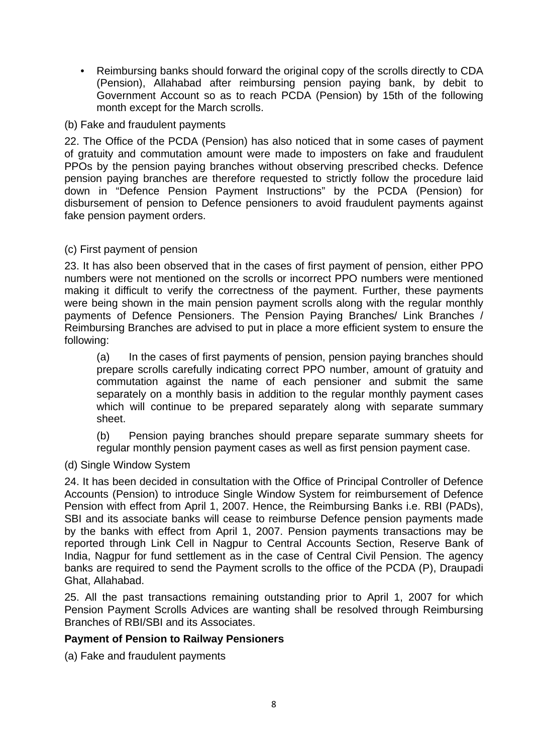• Reimbursing banks should forward the original copy of the scrolls directly to CDA (Pension), Allahabad after reimbursing pension paying bank, by debit to Government Account so as to reach PCDA (Pension) by 15th of the following month except for the March scrolls.

# (b) Fake and fraudulent payments

22. The Office of the PCDA (Pension) has also noticed that in some cases of payment of gratuity and commutation amount were made to imposters on fake and fraudulent PPOs by the pension paying branches without observing prescribed checks. Defence pension paying branches are therefore requested to strictly follow the procedure laid down in "Defence Pension Payment Instructions" by the PCDA (Pension) for disbursement of pension to Defence pensioners to avoid fraudulent payments against fake pension payment orders.

#### (c) First payment of pension

23. It has also been observed that in the cases of first payment of pension, either PPO numbers were not mentioned on the scrolls or incorrect PPO numbers were mentioned making it difficult to verify the correctness of the payment. Further, these payments were being shown in the main pension payment scrolls along with the regular monthly payments of Defence Pensioners. The Pension Paying Branches/ Link Branches / Reimbursing Branches are advised to put in place a more efficient system to ensure the following:

(a) In the cases of first payments of pension, pension paying branches should prepare scrolls carefully indicating correct PPO number, amount of gratuity and commutation against the name of each pensioner and submit the same separately on a monthly basis in addition to the regular monthly payment cases which will continue to be prepared separately along with separate summary sheet.

(b) Pension paying branches should prepare separate summary sheets for regular monthly pension payment cases as well as first pension payment case.

# (d) Single Window System

24. It has been decided in consultation with the Office of Principal Controller of Defence Accounts (Pension) to introduce Single Window System for reimbursement of Defence Pension with effect from April 1, 2007. Hence, the Reimbursing Banks i.e. RBI (PADs), SBI and its associate banks will cease to reimburse Defence pension payments made by the banks with effect from April 1, 2007. Pension payments transactions may be reported through Link Cell in Nagpur to Central Accounts Section, Reserve Bank of India, Nagpur for fund settlement as in the case of Central Civil Pension. The agency banks are required to send the Payment scrolls to the office of the PCDA (P), Draupadi Ghat, Allahabad.

25. All the past transactions remaining outstanding prior to April 1, 2007 for which Pension Payment Scrolls Advices are wanting shall be resolved through Reimbursing Branches of RBI/SBI and its Associates.

# **Payment of Pension to Railway Pensioners**

(a) Fake and fraudulent payments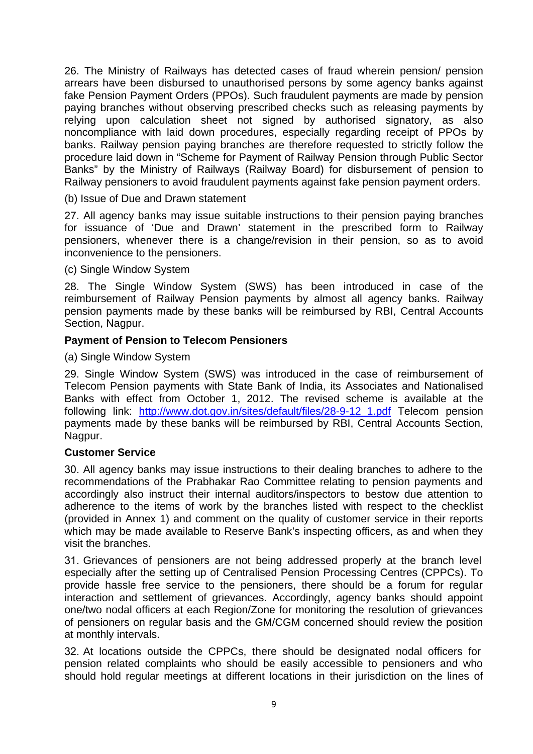26. The Ministry of Railways has detected cases of fraud wherein pension/ pension arrears have been disbursed to unauthorised persons by some agency banks against fake Pension Payment Orders (PPOs). Such fraudulent payments are made by pension paying branches without observing prescribed checks such as releasing payments by relying upon calculation sheet not signed by authorised signatory, as also noncompliance with laid down procedures, especially regarding receipt of PPOs by banks. Railway pension paying branches are therefore requested to strictly follow the procedure laid down in "Scheme for Payment of Railway Pension through Public Sector Banks" by the Ministry of Railways (Railway Board) for disbursement of pension to Railway pensioners to avoid fraudulent payments against fake pension payment orders.

(b) Issue of Due and Drawn statement

27. All agency banks may issue suitable instructions to their pension paying branches for issuance of 'Due and Drawn' statement in the prescribed form to Railway pensioners, whenever there is a change/revision in their pension, so as to avoid inconvenience to the pensioners.

(c) Single Window System

28. The Single Window System (SWS) has been introduced in case of the reimbursement of Railway Pension payments by almost all agency banks. Railway pension payments made by these banks will be reimbursed by RBI, Central Accounts Section, Nagpur.

# **Payment of Pension to Telecom Pensioners**

(a) Single Window System

29. Single Window System (SWS) was introduced in the case of reimbursement of Telecom Pension payments with State Bank of India, its Associates and Nationalised Banks with effect from October 1, 2012. The revised scheme is available at the following link: [http://www.dot.gov.in/sites/default/files/28-9-12\\_1.pdf](http://www.dot.gov.in/sites/default/files/28-9-12_1.pdf) Telecom pension payments made by these banks will be reimbursed by RBI, Central Accounts Section, Nagpur.

#### **Customer Service**

30. All agency banks may issue instructions to their dealing branches to adhere to the recommendations of the Prabhakar Rao Committee relating to pension payments and accordingly also instruct their internal auditors/inspectors to bestow due attention to adherence to the items of work by the branches listed with respect to the checklist (provided in Annex 1) and comment on the quality of customer service in their reports which may be made available to Reserve Bank's inspecting officers, as and when they visit the branches.

31. Grievances of pensioners are not being addressed properly at the branch level especially after the setting up of Centralised Pension Processing Centres (CPPCs). To provide hassle free service to the pensioners, there should be a forum for regular interaction and settlement of grievances. Accordingly, agency banks should appoint one/two nodal officers at each Region/Zone for monitoring the resolution of grievances of pensioners on regular basis and the GM/CGM concerned should review the position at monthly intervals.

32. At locations outside the CPPCs, there should be designated nodal officers for pension related complaints who should be easily accessible to pensioners and who should hold regular meetings at different locations in their jurisdiction on the lines of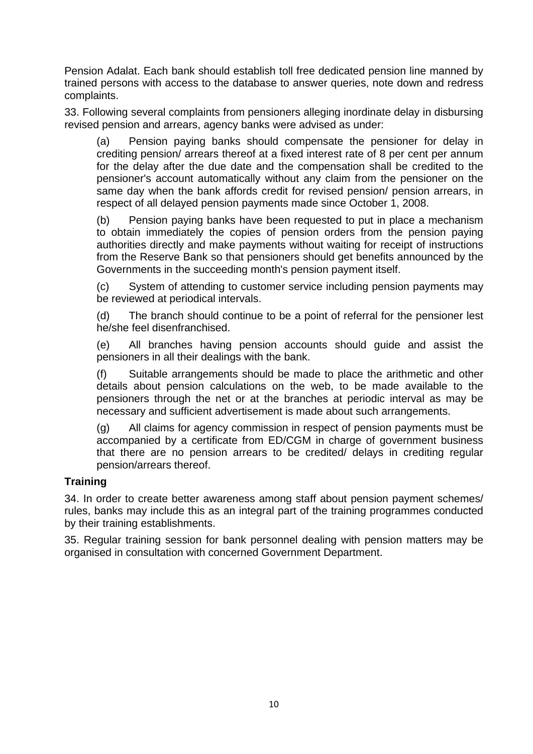Pension Adalat. Each bank should establish toll free dedicated pension line manned by trained persons with access to the database to answer queries, note down and redress complaints.

33. Following several complaints from pensioners alleging inordinate delay in disbursing revised pension and arrears, agency banks were advised as under:

(a) Pension paying banks should compensate the pensioner for delay in crediting pension/ arrears thereof at a fixed interest rate of 8 per cent per annum for the delay after the due date and the compensation shall be credited to the pensioner's account automatically without any claim from the pensioner on the same day when the bank affords credit for revised pension/ pension arrears, in respect of all delayed pension payments made since October 1, 2008.

(b) Pension paying banks have been requested to put in place a mechanism to obtain immediately the copies of pension orders from the pension paying authorities directly and make payments without waiting for receipt of instructions from the Reserve Bank so that pensioners should get benefits announced by the Governments in the succeeding month's pension payment itself.

(c) System of attending to customer service including pension payments may be reviewed at periodical intervals.

(d) The branch should continue to be a point of referral for the pensioner lest he/she feel disenfranchised.

(e) All branches having pension accounts should guide and assist the pensioners in all their dealings with the bank.

Suitable arrangements should be made to place the arithmetic and other details about pension calculations on the web, to be made available to the pensioners through the net or at the branches at periodic interval as may be necessary and sufficient advertisement is made about such arrangements.

(g) All claims for agency commission in respect of pension payments must be accompanied by a certificate from ED/CGM in charge of government business that there are no pension arrears to be credited/ delays in crediting regular pension/arrears thereof.

# **Training**

34. In order to create better awareness among staff about pension payment schemes/ rules, banks may include this as an integral part of the training programmes conducted by their training establishments.

35. Regular training session for bank personnel dealing with pension matters may be organised in consultation with concerned Government Department.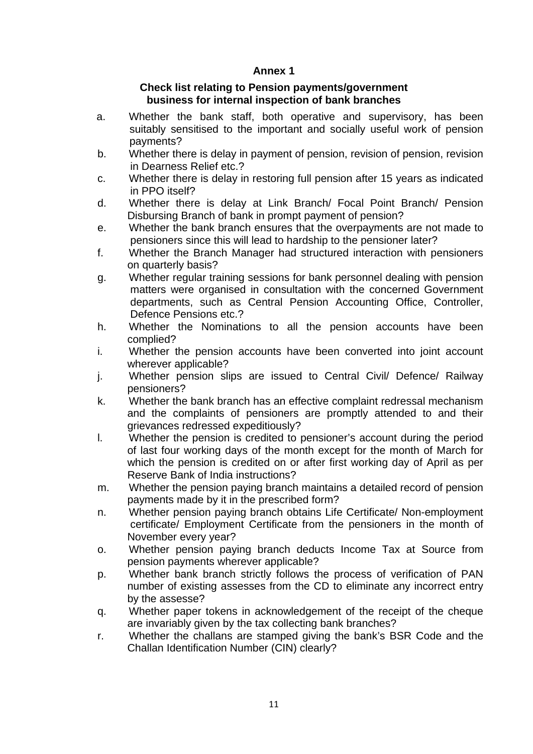# **Annex 1**

#### **Check list relating to Pension payments/government business for internal inspection of bank branches**

- a. Whether the bank staff, both operative and supervisory, has been suitably sensitised to the important and socially useful work of pension payments?
- b. Whether there is delay in payment of pension, revision of pension, revision in Dearness Relief etc.?
- c. Whether there is delay in restoring full pension after 15 years as indicated in PPO itself?
- d. Whether there is delay at Link Branch/ Focal Point Branch/ Pension Disbursing Branch of bank in prompt payment of pension?
- e. Whether the bank branch ensures that the overpayments are not made to pensioners since this will lead to hardship to the pensioner later?
- f. Whether the Branch Manager had structured interaction with pensioners on quarterly basis?
- g. Whether regular training sessions for bank personnel dealing with pension matters were organised in consultation with the concerned Government departments, such as Central Pension Accounting Office, Controller, Defence Pensions etc.?
- h. Whether the Nominations to all the pension accounts have been complied?
- i. Whether the pension accounts have been converted into joint account wherever applicable?
- j. Whether pension slips are issued to Central Civil/ Defence/ Railway pensioners?
- k. Whether the bank branch has an effective complaint redressal mechanism and the complaints of pensioners are promptly attended to and their grievances redressed expeditiously?
- l. Whether the pension is credited to pensioner's account during the period of last four working days of the month except for the month of March for which the pension is credited on or after first working day of April as per Reserve Bank of India instructions?
- m. Whether the pension paying branch maintains a detailed record of pension payments made by it in the prescribed form?
- n. Whether pension paying branch obtains Life Certificate/ Non-employment certificate/ Employment Certificate from the pensioners in the month of November every year?
- o. Whether pension paying branch deducts Income Tax at Source from pension payments wherever applicable?
- p. Whether bank branch strictly follows the process of verification of PAN number of existing assesses from the CD to eliminate any incorrect entry by the assesse?
- q. Whether paper tokens in acknowledgement of the receipt of the cheque are invariably given by the tax collecting bank branches?
- r. Whether the challans are stamped giving the bank's BSR Code and the Challan Identification Number (CIN) clearly?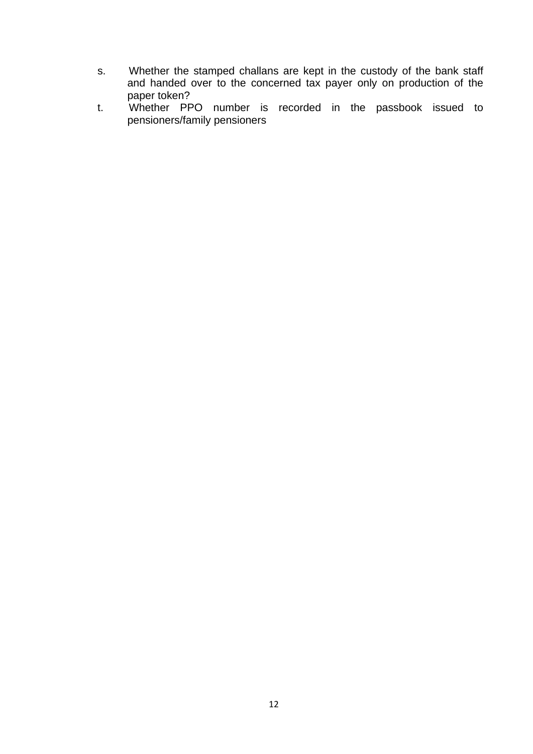- s. Whether the stamped challans are kept in the custody of the bank staff and handed over to the concerned tax payer only on production of the paper token?
- t. Whether PPO number is recorded in the passbook issued to pensioners/family pensioners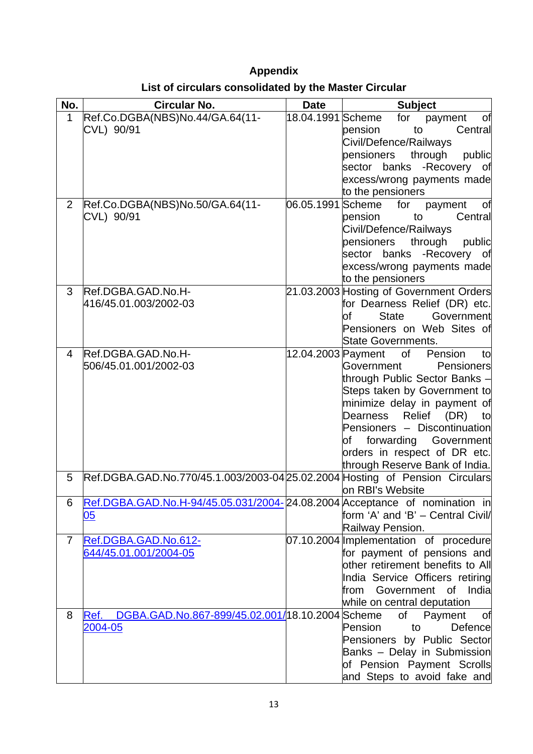# **Appendix**

| List of circulars consolidated by the Master Circular |  |  |  |  |
|-------------------------------------------------------|--|--|--|--|
|-------------------------------------------------------|--|--|--|--|

| No.            | <b>Circular No.</b>                                                        | <b>Date</b>       | <b>Subject</b>                                                 |
|----------------|----------------------------------------------------------------------------|-------------------|----------------------------------------------------------------|
| $\mathbf{1}$   | Ref.Co.DGBA(NBS)No.44/GA.64(11-                                            | 18.04.1991        | Scheme<br>for<br>payment<br>Οf                                 |
|                | CVL) 90/91                                                                 |                   | Central<br>to<br>pension                                       |
|                |                                                                            |                   | Civil/Defence/Railways                                         |
|                |                                                                            |                   | pensioners<br>through<br>public                                |
|                |                                                                            |                   | sector banks -Recovery of                                      |
|                |                                                                            |                   | excess/wrong payments made<br>to the pensioners                |
| $\overline{2}$ | Ref.Co.DGBA(NBS)No.50/GA.64(11-                                            | 06.05.1991 Scheme | for<br>payment<br>оf                                           |
|                | CVL) 90/91                                                                 |                   | pension<br>to<br>Central                                       |
|                |                                                                            |                   | Civil/Defence/Railways                                         |
|                |                                                                            |                   | pensioners<br>through<br>public                                |
|                |                                                                            |                   | sector banks -Recovery of                                      |
|                |                                                                            |                   | excess/wrong payments made                                     |
|                |                                                                            |                   | to the pensioners                                              |
| 3              | Ref.DGBA.GAD.No.H-                                                         |                   | 21.03.2003 Hosting of Government Orders                        |
|                | 416/45.01.003/2002-03                                                      |                   | for Dearness Relief (DR) etc.                                  |
|                |                                                                            |                   | Government<br><b>State</b><br>оf                               |
|                |                                                                            |                   | Pensioners on Web Sites of<br><b>State Governments.</b>        |
| 4              | Ref.DGBA.GAD.No.H-                                                         |                   | of<br>12.04.2003 Payment<br>Pension<br>to                      |
|                | 506/45.01.001/2002-03                                                      |                   | Government<br>Pensioners                                       |
|                |                                                                            |                   | through Public Sector Banks -                                  |
|                |                                                                            |                   | Steps taken by Government to                                   |
|                |                                                                            |                   | minimize delay in payment of                                   |
|                |                                                                            |                   | Dearness Relief (DR)<br>to                                     |
|                |                                                                            |                   | Pensioners - Discontinuation                                   |
|                |                                                                            |                   | Government<br>forwarding<br>lof                                |
|                |                                                                            |                   | orders in respect of DR etc.                                   |
| 5              | Ref.DGBA.GAD.No.770/45.1.003/2003-04 25.02.2004                            |                   | through Reserve Bank of India.<br>Hosting of Pension Circulars |
|                |                                                                            |                   | on RBI's Website                                               |
| 6              | Ref.DGBA.GAD.No.H-94/45.05.031/2004-24.08.2004 Acceptance of nomination in |                   |                                                                |
|                | 05                                                                         |                   | form 'A' and 'B' - Central Civil/                              |
|                |                                                                            |                   | Railway Pension.                                               |
| $\overline{7}$ | Ref.DGBA.GAD.No.612-                                                       |                   | 07.10.2004 Implementation of procedure                         |
|                | 644/45.01.001/2004-05                                                      |                   | for payment of pensions and                                    |
|                |                                                                            |                   | other retirement benefits to All                               |
|                |                                                                            |                   | India Service Officers retiring                                |
|                |                                                                            |                   | from Government of India                                       |
|                |                                                                            |                   | while on central deputation                                    |
| 8              | DGBA.GAD.No.867-899/45.02.001/18.10.2004 Scheme<br>Ref.                    |                   | of<br>Payment<br>of<br>Defence                                 |
|                | 2004-05                                                                    |                   | Pension<br>to<br>Pensioners by Public Sector                   |
|                |                                                                            |                   | Banks - Delay in Submission                                    |
|                |                                                                            |                   | of Pension Payment Scrolls                                     |
|                |                                                                            |                   | and Steps to avoid fake and                                    |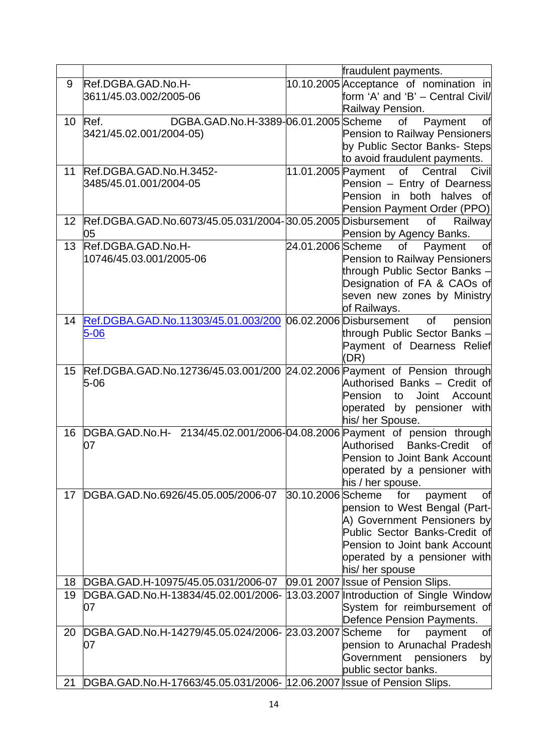|    |                                                                                       |                    | fraudulent payments.                                                                                                                                                                                      |
|----|---------------------------------------------------------------------------------------|--------------------|-----------------------------------------------------------------------------------------------------------------------------------------------------------------------------------------------------------|
| 9  | Ref.DGBA.GAD.No.H-<br> 3611/45.03.002/2005-06                                         |                    | 10.10.2005 Acceptance of nomination in<br>form 'A' and 'B' - Central Civil/                                                                                                                               |
| 10 | DGBA.GAD.No.H-3389-06.01.2005 Scheme<br>Ref.<br>3421/45.02.001/2004-05)               |                    | Railway Pension.<br>οf<br>Payment<br>оf<br>Pension to Railway Pensioners<br>by Public Sector Banks- Steps<br>to avoid fraudulent payments.                                                                |
| 11 | Ref.DGBA.GAD.No.H.3452-<br>3485/45.01.001/2004-05                                     | 11.01.2005 Payment | of Central<br>Civil<br>Pension - Entry of Dearness<br>in both halves<br>Pension<br>оf<br>Pension Payment Order (PPO)                                                                                      |
| 12 | Ref.DGBA.GAD.No.6073/45.05.031/2004-30.05.2005 Disbursement<br>05                     |                    | οf<br>Railway<br>Pension by Agency Banks.                                                                                                                                                                 |
| 13 | Ref.DGBA.GAD.No.H-<br>10746/45.03.001/2005-06                                         | 24.01.2006 Scheme  | of<br>Payment<br>of<br>Pension to Railway Pensioners<br>through Public Sector Banks -<br>Designation of FA & CAOs of<br>seven new zones by Ministry<br>of Railways.                                       |
| 14 | Ref.DGBA.GAD.No.11303/45.01.003/200 06.02.2006 Disbursement<br>$5 - 06$               |                    | pension<br>οf<br>through Public Sector Banks -<br>Payment of Dearness Relief<br>(DR)                                                                                                                      |
| 15 | Ref.DGBA.GAD.No.12736/45.03.001/200 24.02.2006 Payment of Pension through<br>$5 - 06$ |                    | Authorised Banks - Credit of<br><b>Joint</b><br>Account<br>Pension<br>to<br>operated by pensioner with<br>his/ her Spouse.                                                                                |
| 16 | DGBA.GAD.No.H- 2134/45.02.001/2006-04.08.2006 Payment of pension through<br>07        |                    | <b>Banks-Credit</b><br>Authorised<br>οf<br>Pension to Joint Bank Account<br>operated by a pensioner with<br>his / her spouse.                                                                             |
| 17 | DGBA.GAD.No.6926/45.05.005/2006-07                                                    | 30.10.2006 Scheme  | for<br>payment<br>Οf<br>pension to West Bengal (Part-<br>A) Government Pensioners by<br>Public Sector Banks-Credit of<br>Pension to Joint bank Account<br>operated by a pensioner with<br>his/ her spouse |
| 18 | DGBA.GAD.H-10975/45.05.031/2006-07                                                    |                    | 09.01 2007 Issue of Pension Slips.                                                                                                                                                                        |
| 19 | DGBA.GAD.No.H-13834/45.02.001/2006-<br>07                                             |                    | 13.03.2007 Introduction of Single Window<br>System for reimbursement of<br>Defence Pension Payments.                                                                                                      |
| 20 | DGBA.GAD.No.H-14279/45.05.024/2006- 23.03.2007<br>07                                  |                    | <b>Scheme</b><br>for<br>payment<br>Οf<br>pension to Arunachal Pradesh<br>Government<br>pensioners<br>by<br>public sector banks.                                                                           |
| 21 | DGBA.GAD.No.H-17663/45.05.031/2006- 12.06.2007 Ssue of Pension Slips.                 |                    |                                                                                                                                                                                                           |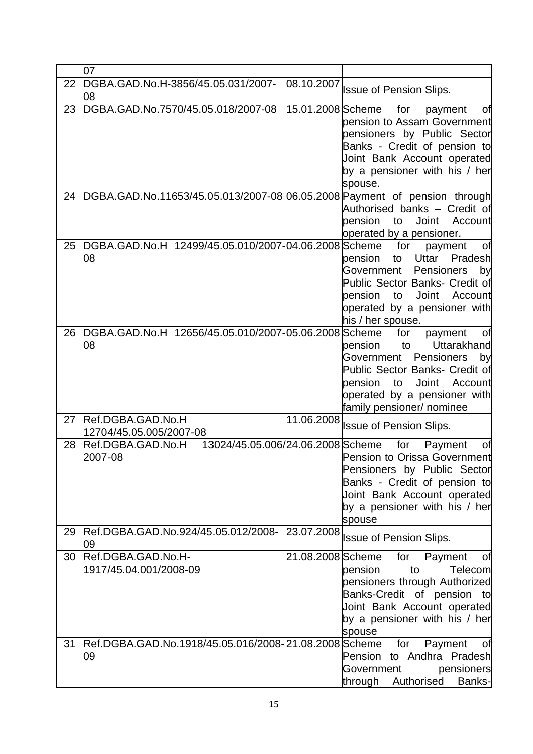|    | 07                                                                        |                   |                                                                                                                                                                                                                                   |
|----|---------------------------------------------------------------------------|-------------------|-----------------------------------------------------------------------------------------------------------------------------------------------------------------------------------------------------------------------------------|
| 22 | DGBA.GAD.No.H-3856/45.05.031/2007-<br>08                                  | 08.10.2007        | <b>Issue of Pension Slips.</b>                                                                                                                                                                                                    |
| 23 | DGBA.GAD.No.7570/45.05.018/2007-08                                        | 15.01.2008 Scheme | for<br>payment<br>Οf<br>pension to Assam Government<br>pensioners by Public Sector<br>Banks - Credit of pension to<br>Joint Bank Account operated<br>by a pensioner with his / her<br>spouse.                                     |
| 24 | DGBA.GAD.No.11653/45.05.013/2007-08 06.05.2008 Payment of pension through |                   | Authorised banks - Credit of<br>pension<br>Joint<br>to<br>Account<br>operated by a pensioner.                                                                                                                                     |
| 25 | DGBA.GAD.No.H 12499/45.05.010/2007-04.06.2008 Scheme<br>08                |                   | for<br>payment<br>Οt<br>Uttar<br>Pradesh<br>pension<br>to<br>Pensioners<br>Government<br>by<br>Public Sector Banks- Credit of<br>Joint<br>pension<br>to<br>Account<br>operated by a pensioner with<br>his / her spouse.           |
| 26 | DGBA.GAD.No.H 12656/45.05.010/2007-05.06.2008 Scheme<br>08                |                   | for<br>payment<br>Οf<br>to<br>Uttarakhand<br>pension<br>Pensioners<br>Government<br>by<br>Public Sector Banks- Credit of<br>pension<br><b>Joint</b><br>to<br>Account<br>operated by a pensioner with<br>family pensioner/ nominee |
| 27 | Ref.DGBA.GAD.No.H<br>12704/45.05.005/2007-08                              | 11.06.2008        | <b>Issue of Pension Slips.</b>                                                                                                                                                                                                    |
| 28 | Ref.DGBA.GAD.No.H<br>13024/45.05.006/24.06.2008 Scheme<br>2007-08         |                   | for<br>Payment<br>Οf<br>Pension to Orissa Government<br>Pensioners by Public Sector<br>Banks - Credit of pension to<br>Joint Bank Account operated<br>by a pensioner with his / her<br>spouse                                     |
| 29 | Ref.DGBA.GAD.No.924/45.05.012/2008- 23.07.2008<br>09                      |                   | <b>Issue of Pension Slips.</b>                                                                                                                                                                                                    |
| 30 | Ref.DGBA.GAD.No.H-<br>1917/45.04.001/2008-09                              |                   | for<br>Payment<br>оf<br>Telecom<br>to<br>pension<br>pensioners through Authorized<br>Banks-Credit of pension to<br>Joint Bank Account operated<br>by a pensioner with his / her<br>spouse                                         |
| 31 | Ref.DGBA.GAD.No.1918/45.05.016/2008-21.08.2008 Scheme<br>09               |                   | Payment<br>for<br>Оf<br>Pension to Andhra Pradesh<br>Government<br>pensioners<br>through Authorised<br>Banks-                                                                                                                     |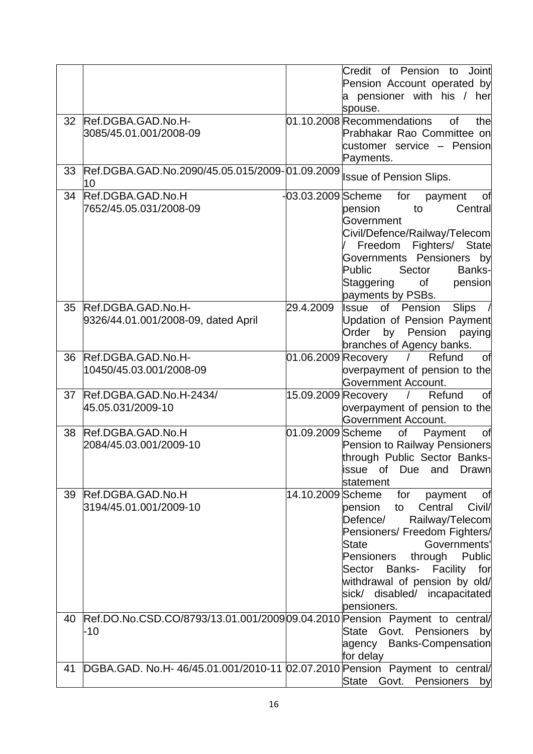|    |                                                                                    |                     | of Pension<br>Credit<br>Joint<br>to<br>Pension Account operated by<br>a pensioner with his / her<br>spouse.                                                                                                                                                                                                        |
|----|------------------------------------------------------------------------------------|---------------------|--------------------------------------------------------------------------------------------------------------------------------------------------------------------------------------------------------------------------------------------------------------------------------------------------------------------|
| 32 | Ref.DGBA.GAD.No.H-<br>3085/45.01.001/2008-09                                       |                     | 01.10.2008 Recommendations<br>of<br>the<br>Prabhakar Rao Committee on<br>customer service - Pension<br>Payments.                                                                                                                                                                                                   |
| 33 | Ref.DGBA.GAD.No.2090/45.05.015/2009-01.09.2009<br>10                               |                     | <b>Issue of Pension Slips.</b>                                                                                                                                                                                                                                                                                     |
| 34 | Ref.DGBA.GAD.No.H<br>7652/45.05.031/2008-09                                        | -03.03.2009 Scheme  | for<br>payment<br>оf<br>to<br>Central<br>pension<br>Government<br>Civil/Defence/Railway/Telecom<br>Freedom Fighters/ State<br>Governments Pensioners by<br>Public<br>Sector<br>Banks-<br>Staggering<br>of<br>pension<br>payments by PSBs.                                                                          |
| 35 | Ref.DGBA.GAD.No.H-<br>9326/44.01.001/2008-09, dated April                          | 29.4.2009           | Issue of<br>Pension<br><b>Slips</b><br>Updation of Pension Payment<br>Pension<br>by<br>paying<br>Order<br>branches of Agency banks.                                                                                                                                                                                |
| 36 | Ref.DGBA.GAD.No.H-<br>10450/45.03.001/2008-09                                      | 01.06.2009 Recovery | Refund<br>of<br>$\sqrt{2}$<br>overpayment of pension to the<br>Government Account.                                                                                                                                                                                                                                 |
| 37 | Ref.DGBA.GAD.No.H-2434/<br>45.05.031/2009-10                                       |                     | 15.09.2009 Recovery / Refund<br>Οf<br>overpayment of pension to the<br><b>Government Account.</b>                                                                                                                                                                                                                  |
| 38 | Ref.DGBA.GAD.No.H<br>2084/45.03.001/2009-10                                        | 01.09.2009 Scheme   | of Payment<br>Οf<br>Pension to Railway Pensioners<br>through Public Sector Banks-<br>and<br>Due<br>issue<br>Drawn<br>0f<br>statement                                                                                                                                                                               |
| 39 | Ref.DGBA.GAD.No.H<br>3194/45.01.001/2009-10                                        | 14.10.2009 Scheme   | for<br>payment<br>Οt<br>Central<br>Civil/<br>pension<br>to<br>Railway/Telecom<br>Defence/<br>Pensioners/ Freedom Fighters/<br>Governments'<br><b>State</b><br>Pensioners<br>through<br>Public<br>Banks- Facility<br>for<br>Sector<br>withdrawal of pension by old/<br>sick/ disabled/ incapacitated<br>pensioners. |
| 40 | Ref.DO.No.CSD.CO/8793/13.01.001/2009 09.04.2010 Pension Payment to central/<br>-10 |                     | Govt. Pensioners by<br>State<br>agency Banks-Compensation<br>for delay                                                                                                                                                                                                                                             |
| 41 | DGBA.GAD. No.H- 46/45.01.001/2010-11 02.07.2010 Pension Payment to central/        |                     | <b>State</b><br>Govt. Pensioners<br>by                                                                                                                                                                                                                                                                             |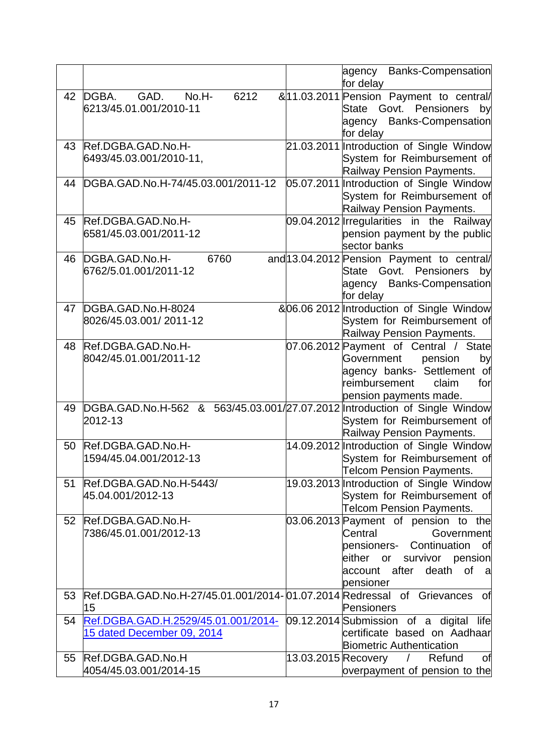|    |                                                                              |                     | Banks-Compensation<br>agency<br>for delay                                                                                                                                         |
|----|------------------------------------------------------------------------------|---------------------|-----------------------------------------------------------------------------------------------------------------------------------------------------------------------------------|
| 42 | GAD.<br>DGBA.<br>No.H-<br>6212<br>6213/45.01.001/2010-11                     |                     | & 11.03.2011 Pension Payment to central/<br>State Govt. Pensioners<br>by<br>agency Banks-Compensation<br>for delay                                                                |
| 43 | Ref.DGBA.GAD.No.H-<br>6493/45.03.001/2010-11,                                |                     | 21.03.2011 Introduction of Single Window<br>System for Reimbursement of<br>Railway Pension Payments.                                                                              |
| 44 | DGBA.GAD.No.H-74/45.03.001/2011-12                                           |                     | 05.07.2011 Introduction of Single Window<br>System for Reimbursement of<br>Railway Pension Payments.                                                                              |
| 45 | Ref.DGBA.GAD.No.H-<br>6581/45.03.001/2011-12                                 |                     | 09.04.2012 Trregularities in the Railway<br>pension payment by the public<br>sector banks                                                                                         |
| 46 | 6760<br>DGBA.GAD.No.H-<br>6762/5.01.001/2011-12                              |                     | and 13.04.2012 Pension Payment to central/<br>State Govt. Pensioners by<br>agency Banks-Compensation<br>for delay                                                                 |
| 47 | DGBA.GAD.No.H-8024<br>8026/45.03.001/2011-12                                 |                     | &06.06 2012 Introduction of Single Window<br>System for Reimbursement of<br>Railway Pension Payments.                                                                             |
| 48 | Ref.DGBA.GAD.No.H-<br>8042/45.01.001/2011-12                                 |                     | 07.06.2012 Payment of Central / State<br>Government<br>pension<br>by<br>agency banks- Settlement of<br>reimbursement<br>claim<br>for<br>pension payments made.                    |
| 49 | DGBA.GAD.No.H-562<br>&<br>2012-13                                            |                     | 563/45.03.001/27.07.2012 Introduction of Single Window<br>System for Reimbursement of<br>Railway Pension Payments.                                                                |
| 50 | Ref.DGBA.GAD.No.H-<br>1594/45.04.001/2012-13                                 |                     | 14.09.2012 Introduction of Single Window<br>System for Reimbursement of<br><b>Telcom Pension Payments.</b>                                                                        |
| 51 | Ref.DGBA.GAD.No.H-5443/<br>45.04.001/2012-13                                 |                     | 19.03.2013 Introduction of Single Window<br>System for Reimbursement of<br><b>Telcom Pension Payments.</b>                                                                        |
| 52 | Ref.DGBA.GAD.No.H-<br>7386/45.01.001/2012-13                                 |                     | 03.06.2013 Payment of pension to the<br>Central<br>Government<br>pensioners- Continuation of<br>either or survivor pension<br>account after death of<br><sub>a</sub><br>pensioner |
| 53 | Ref.DGBA.GAD.No.H-27/45.01.001/2014-01.07.2014 Redressal of Grievances<br>15 |                     | of<br>Pensioners                                                                                                                                                                  |
| 54 | Ref.DGBA.GAD.H.2529/45.01.001/2014-<br>15 dated December 09, 2014            |                     | 09.12.2014 Submission of a digital<br>lifel<br>certificate based on Aadhaar<br><b>Biometric Authentication</b>                                                                    |
| 55 | Ref.DGBA.GAD.No.H<br>4054/45.03.001/2014-15                                  | 13.03.2015 Recovery | Refund<br>of<br>$\sqrt{2}$<br>overpayment of pension to the                                                                                                                       |